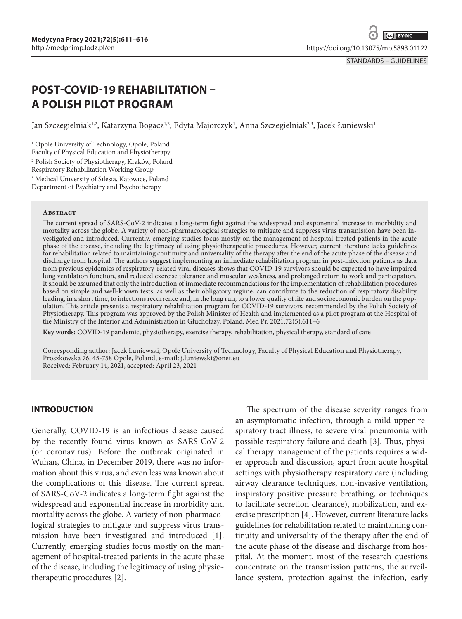STANDARDS – GUIDELINES

# **POST-COVID-19 REHABILITATION – A POLISH PILOT PROGRAM**

Jan Szczegielniak½, Katarzyna Bogacz½, Edyta Majorczyk½, Anna Szczegielniak½, Jacek Łuniewskił

1 Opole University of Technology, Opole, Poland Faculty of Physical Education and Physiotherapy 2 Polish Society of Physiotherapy, Kraków, Poland Respiratory Rehabilitation Working Group 3 Medical University of Silesia, Katowice, Poland Department of Psychiatry and Psychotherapy

#### **Abstract**

The current spread of SARS-CoV-2 indicates a long-term fight against the widespread and exponential increase in morbidity and mortality across the globe. A variety of non-pharmacological strategies to mitigate and suppress virus transmission have been investigated and introduced. Currently, emerging studies focus mostly on the management of hospital-treated patients in the acute phase of the disease, including the legitimacy of using physiotherapeutic procedures. However, current literature lacks guidelines for rehabilitation related to maintaining continuity and universality of the therapy after the end of the acute phase of the disease and discharge from hospital. The authors suggest implementing an immediate rehabilitation program in post-infection patients as data from previous epidemics of respiratory-related viral diseases shows that COVID-19 survivors should be expected to have impaired lung ventilation function, and reduced exercise tolerance and muscular weakness, and prolonged return to work and participation. It should be assumed that only the introduction of immediate recommendations for the implementation of rehabilitation procedures based on simple and well-known tests, as well as their obligatory regime, can contribute to the reduction of respiratory disability leading, in a short time, to infections recurrence and, in the long run, to a lower quality of life and socioeconomic burden on the population. This article presents a respiratory rehabilitation program for COVID-19 survivors, recommended by the Polish Society of Physiotherapy. This program was approved by the Polish Minister of Health and implemented as a pilot program at the Hospital of the Ministry of the Interior and Administration in Głuchołazy, Poland. Med Pr. 2021;72(5):611–6

**Key words:** COVID-19 pandemic, physiotherapy, exercise therapy, rehabilitation, physical therapy, standard of care

Corresponding author: Jacek Łuniewski, Opole University of Technology, Faculty of Physical Education and Physiotherapy, Proszkowska 76, 45-758 Opole, Poland, e-mail: [j.luniewski@onet.eu](mailto:j.luniewski@onet.eu) Received: February 14, 2021, accepted: April 23, 2021

# **INTRODUCTION**

Generally, COVID-19 is an infectious disease caused by the recently found virus known as SARS-CoV-2 (or coronavirus). Before the outbreak originated in Wuhan, China, in December 2019, there was no information about this virus, and even less was known about the complications of this disease. The current spread of SARS-CoV-2 indicates a long-term fight against the widespread and exponential increase in morbidity and mortality across the globe. A variety of non-pharmacological strategies to mitigate and suppress virus transmission have been investigated and introduced [1]. Currently, emerging studies focus mostly on the management of hospital-treated patients in the acute phase of the disease, including the legitimacy of using physiotherapeutic procedures [2].

The spectrum of the disease severity ranges from an asymptomatic infection, through a mild upper respiratory tract illness, to severe viral pneumonia with possible respiratory failure and death [3]. Thus, physical therapy management of the patients requires a wider approach and discussion, apart from acute hospital settings with physiotherapy respiratory care (including airway clearance techniques, non-invasive ventilation, inspiratory positive pressure breathing, or techniques to facilitate secretion clearance), mobilization, and exercise prescription [4]. However, current literature lacks guidelines for rehabilitation related to maintaining continuity and universality of the therapy after the end of the acute phase of the disease and discharge from hospital. At the moment, most of the research questions concentrate on the transmission patterns, the surveillance system, protection against the infection, early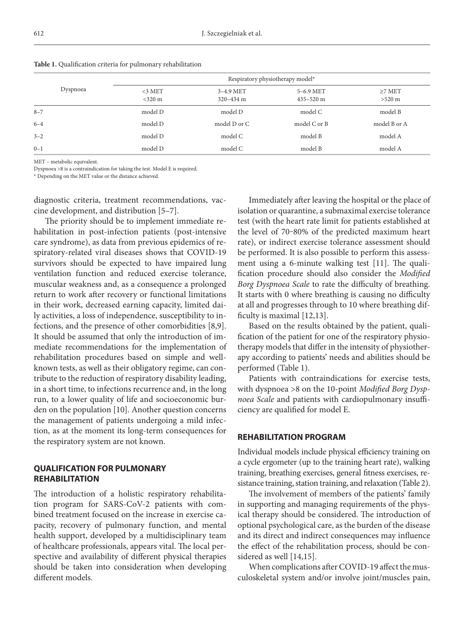|          | Respiratory physiotherapy model* |                              |                            |                        |
|----------|----------------------------------|------------------------------|----------------------------|------------------------|
| Dyspnoea | $<$ 3 MET<br>$<$ 320 m           | $3-4.9$ MET<br>$320 - 434$ m | 5-6.9 MET<br>$435 - 520$ m | $\geq$ MET<br>$>520$ m |
| $8 - 7$  | model D                          | model D                      | model C                    | model B                |
| $6 - 4$  | model D                          | model D or C                 | model C or B               | model B or A           |
| $3 - 2$  | model D                          | model C                      | model B                    | model A                |
| $0 - 1$  | model D                          | model C                      | model B                    | model A                |

**Table 1.** Qualification criteria for pulmonary rehabilitation

MET – metabolic equivalent.

Dyspnoea >8 is a contraindication for taking the test. Model E is required.

\* Depending on the MET value or the distance achieved.

diagnostic criteria, treatment recommendations, vaccine development, and distribution [5–7].

The priority should be to implement immediate rehabilitation in post-infection patients (post-intensive care syndrome), as data from previous epidemics of respiratory-related viral diseases shows that COVID-19 survivors should be expected to have impaired lung ventilation function and reduced exercise tolerance, muscular weakness and, as a consequence a prolonged return to work after recovery or functional limitations in their work, decreased earning capacity, limited daily activities, a loss of independence, susceptibility to infections, and the presence of other comorbidities [8,9]. It should be assumed that only the introduction of immediate recommendations for the implementation of rehabilitation procedures based on simple and wellknown tests, as well as their obligatory regime, can contribute to the reduction of respiratory disability leading, in a short time, to infections recurrence and, in the long run, to a lower quality of life and socioeconomic burden on the population [10]. Another question concerns the management of patients undergoing a mild infection, as at the moment its long-term consequences for the respiratory system are not known.

## **QUALIFICATION FOR PULMONARY REHABILITATION**

The introduction of a holistic respiratory rehabilitation program for SARS-CoV-2 patients with combined treatment focused on the increase in exercise capacity, recovery of pulmonary function, and mental health support, developed by a multidisciplinary team of healthcare professionals, appears vital. The local perspective and availability of different physical therapies should be taken into consideration when developing different models.

Immediately after leaving the hospital or the place of isolation or quarantine, a submaximal exercise tolerance test (with the heart rate limit for patients established at the level of 70-80% of the predicted maximum heart rate), or indirect exercise tolerance assessment should be performed. It is also possible to perform this assessment using a 6-minute walking test [11]. The qualification procedure should also consider the *Modified Borg Dyspnoea Scale* to rate the difficulty of breathing. It starts with 0 where breathing is causing no difficulty at all and progresses through to 10 where breathing difficulty is maximal [12,13].

Based on the results obtained by the patient, qualification of the patient for one of the respiratory physiotherapy models that differ in the intensity of physiotherapy according to patients' needs and abilities should be performed (Table 1).

Patients with contraindications for exercise tests, with dyspnoea >8 on the 10-point *Modified Borg Dyspnoea Scale* and patients with cardiopulmonary insufficiency are qualified for model E.

## **REHABILITATION PROGRAM**

Individual models include physical efficiency training on a cycle ergometer (up to the training heart rate), walking training, breathing exercises, general fitness exercises, resistance training, station training, and relaxation (Table 2).

The involvement of members of the patients' family in supporting and managing requirements of the physical therapy should be considered. The introduction of optional psychological care, as the burden of the disease and its direct and indirect consequences may influence the effect of the rehabilitation process, should be considered as well [14,15].

When complications after COVID-19 affect the musculoskeletal system and/or involve joint/muscles pain,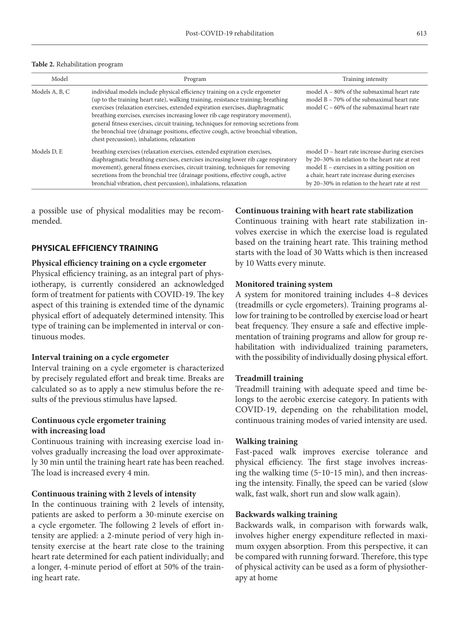#### **Table 2.** Rehabilitation program

| Model          | Program                                                                                                                                                                                                                                                                                                                                                                                                                                                                                                                                                            | Training intensity                                                                                                                                                                                                                                      |
|----------------|--------------------------------------------------------------------------------------------------------------------------------------------------------------------------------------------------------------------------------------------------------------------------------------------------------------------------------------------------------------------------------------------------------------------------------------------------------------------------------------------------------------------------------------------------------------------|---------------------------------------------------------------------------------------------------------------------------------------------------------------------------------------------------------------------------------------------------------|
| Models A, B, C | individual models include physical efficiency training on a cycle ergometer<br>(up to the training heart rate), walking training, resistance training; breathing<br>exercises (relaxation exercises, extended expiration exercises, diaphragmatic<br>breathing exercises, exercises increasing lower rib cage respiratory movement),<br>general fitness exercises, circuit training, techniques for removing secretions from<br>the bronchial tree (drainage positions, effective cough, active bronchial vibration,<br>chest percussion), inhalations, relaxation | model A – 80% of the submaximal heart rate<br>model $B - 70\%$ of the submaximal heart rate<br>model $C - 60\%$ of the submaximal heart rate                                                                                                            |
| Models D. E    | breathing exercises (relaxation exercises, extended expiration exercises,<br>diaphragmatic breathing exercises, exercises increasing lower rib cage respiratory<br>movement), general fitness exercises, circuit training, techniques for removing<br>secretions from the bronchial tree (drainage positions, effective cough, active<br>bronchial vibration, chest percussion), inhalations, relaxation                                                                                                                                                           | model D – heart rate increase during exercises<br>by 20–30% in relation to the heart rate at rest<br>model $E$ – exercises in a sitting position on<br>a chair, heart rate increase during exercises<br>by 20-30% in relation to the heart rate at rest |

a possible use of physical modalities may be recommended.

# **PHYSICAL EFFICIENCY TRAINING**

## **Physical efficiency training on a cycle ergometer**

Physical efficiency training, as an integral part of physiotherapy, is currently considered an acknowledged form of treatment for patients with COVID-19. The key aspect of this training is extended time of the dynamic physical effort of adequately determined intensity. This type of training can be implemented in interval or continuous modes.

#### **Interval training on a cycle ergometer**

Interval training on a cycle ergometer is characterized by precisely regulated effort and break time. Breaks are calculated so as to apply a new stimulus before the results of the previous stimulus have lapsed.

## **Continuous cycle ergometer training with increasing load**

Continuous training with increasing exercise load involves gradually increasing the load over approximately 30 min until the training heart rate has been reached. The load is increased every 4 min.

#### **Continuous training with 2 levels of intensity**

In the continuous training with 2 levels of intensity, patients are asked to perform a 30-minute exercise on a cycle ergometer. The following 2 levels of effort intensity are applied: a 2-minute period of very high intensity exercise at the heart rate close to the training heart rate determined for each patient individually; and a longer, 4-minute period of effort at 50% of the training heart rate.

#### **Continuous training with heart rate stabilization**

Continuous training with heart rate stabilization involves exercise in which the exercise load is regulated based on the training heart rate. This training method starts with the load of 30 Watts which is then increased by 10 Watts every minute.

#### **Monitored training system**

A system for monitored training includes 4–8 devices (treadmills or cycle ergometers). Training programs allow for training to be controlled by exercise load or heart beat frequency. They ensure a safe and effective implementation of training programs and allow for group rehabilitation with individualized training parameters, with the possibility of individually dosing physical effort.

#### **Treadmill training**

Treadmill training with adequate speed and time belongs to the aerobic exercise category. In patients with COVID-19, depending on the rehabilitation model, continuous training modes of varied intensity are used.

#### **Walking training**

Fast-paced walk improves exercise tolerance and physical efficiency. The first stage involves increasing the walking time (5-10-15 min), and then increasing the intensity. Finally, the speed can be varied (slow walk, fast walk, short run and slow walk again).

## **Backwards walking training**

Backwards walk, in comparison with forwards walk, involves higher energy expenditure reflected in maximum oxygen absorption. From this perspective, it can be compared with running forward. Therefore, this type of physical activity can be used as a form of physiotherapy at home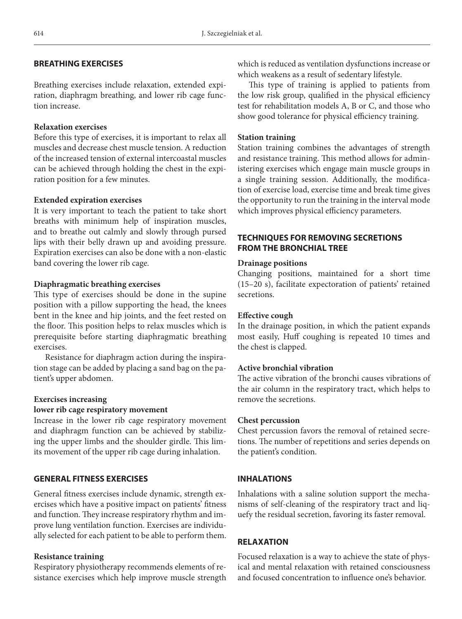# **BREATHING EXERCISES**

Breathing exercises include relaxation, extended expiration, diaphragm breathing, and lower rib cage function increase.

# **Relaxation exercises**

Before this type of exercises, it is important to relax all muscles and decrease chest muscle tension. A reduction of the increased tension of external intercoastal muscles can be achieved through holding the chest in the expiration position for a few minutes.

## **Extended expiration exercises**

It is very important to teach the patient to take short breaths with minimum help of inspiration muscles, and to breathe out calmly and slowly through pursed lips with their belly drawn up and avoiding pressure. Expiration exercises can also be done with a non-elastic band covering the lower rib cage.

## **Diaphragmatic breathing exercises**

This type of exercises should be done in the supine position with a pillow supporting the head, the knees bent in the knee and hip joints, and the feet rested on the floor. This position helps to relax muscles which is prerequisite before starting diaphragmatic breathing exercises.

Resistance for diaphragm action during the inspiration stage can be added by placing a sand bag on the patient's upper abdomen.

## **Exercises increasing lower rib cage respiratory movement**

Increase in the lower rib cage respiratory movement and diaphragm function can be achieved by stabilizing the upper limbs and the shoulder girdle. This limits movement of the upper rib cage during inhalation.

# **GENERAL FITNESS EXERCISES**

General fitness exercises include dynamic, strength exercises which have a positive impact on patients' fitness and function. They increase respiratory rhythm and improve lung ventilation function. Exercises are individually selected for each patient to be able to perform them.

## **Resistance training**

Respiratory physiotherapy recommends elements of resistance exercises which help improve muscle strength which is reduced as ventilation dysfunctions increase or which weakens as a result of sedentary lifestyle.

This type of training is applied to patients from the low risk group, qualified in the physical efficiency test for rehabilitation models A, B or C, and those who show good tolerance for physical efficiency training.

## **Station training**

Station training combines the advantages of strength and resistance training. This method allows for administering exercises which engage main muscle groups in a single training session. Additionally, the modification of exercise load, exercise time and break time gives the opportunity to run the training in the interval mode which improves physical efficiency parameters.

# **TECHNIQUES FOR REMOVING SECRETIONS FROM THE BRONCHIAL TREE**

## **Drainage positions**

Changing positions, maintained for a short time (15–20 s), facilitate expectoration of patients' retained secretions.

# **Effective cough**

In the drainage position, in which the patient expands most easily, Huff coughing is repeated 10 times and the chest is clapped.

# **Active bronchial vibration**

The active vibration of the bronchi causes vibrations of the air column in the respiratory tract, which helps to remove the secretions.

## **Chest percussion**

Chest percussion favors the removal of retained secretions. The number of repetitions and series depends on the patient's condition.

# **INHALATIONS**

Inhalations with a saline solution support the mechanisms of self-cleaning of the respiratory tract and liquefy the residual secretion, favoring its faster removal.

# **RELAXATION**

Focused relaxation is a way to achieve the state of physical and mental relaxation with retained consciousness and focused concentration to influence one's behavior.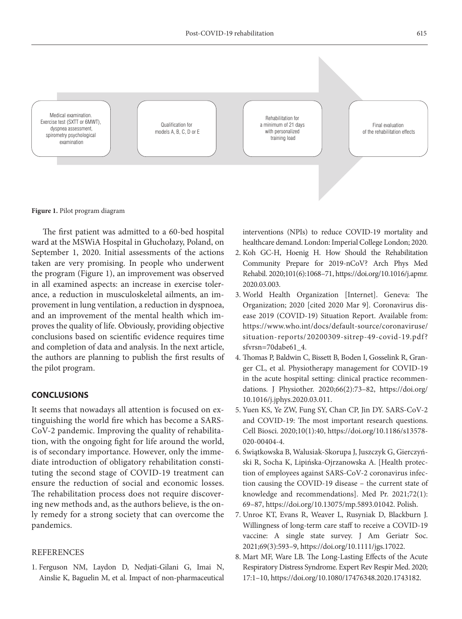

**Figure 1.** Pilot program diagram

The first patient was admitted to a 60-bed hospital ward at the MSWiA Hospital in Głuchołazy, Poland, on September 1, 2020. Initial assessments of the actions taken are very promising. In people who underwent the program (Figure 1), an improvement was observed in all examined aspects: an increase in exercise tolerance, a reduction in musculoskeletal ailments, an improvement in lung ventilation, a reduction in dyspnoea, and an improvement of the mental health which improves the quality of life. Obviously, providing objective conclusions based on scientific evidence requires time and completion of data and analysis. In the next article, the authors are planning to publish the first results of the pilot program.

# **CONCLUSIONS**

It seems that nowadays all attention is focused on extinguishing the world fire which has become a SARS-CoV-2 pandemic. Improving the quality of rehabilitation, with the ongoing fight for life around the world, is of secondary importance. However, only the immediate introduction of obligatory rehabilitation constituting the second stage of COVID-19 treatment can ensure the reduction of social and economic losses. The rehabilitation process does not require discovering new methods and, as the authors believe, is the only remedy for a strong society that can overcome the pandemics.

#### REFERENCES

1. Ferguson NM, Laydon D, Nedjati-Gilani G, Imai N, Ainslie K, Baguelin M, et al. Impact of non-pharmaceutical interventions (NPIs) to reduce COVID-19 mortality and healthcare demand. London: Imperial College London; 2020.

- 2. Koh GC-H, Hoenig H. How Should the Rehabilitation Community Prepare for 2019-nCoV? Arch Phys Med Rehabil. 2020;101(6):1068–71, [https://doi.org/10.1016/j.apmr.](https://doi.org/10.1016/j.apmr.2020.03.003) [2020.03.003](https://doi.org/10.1016/j.apmr.2020.03.003).
- 3. World Health Organization [Internet]. Geneva: The Organization; 2020 [cited 2020 Mar 9]. Coronavirus disease 2019 (COVID-19) Situation Report. Available from: [https://www.who.int/docs/default-source/coronaviruse/](https://www.who.int/docs/default-source/coronaviruse/situation-reports/20200309-sitrep-49-covid-19.pdf?sfvrsn=70dabe61_4) [situation-reports/20200309-sitrep-49-covid-19.pdf?](https://www.who.int/docs/default-source/coronaviruse/situation-reports/20200309-sitrep-49-covid-19.pdf?sfvrsn=70dabe61_4) [sfvrsn=70dabe61\\_4.](https://www.who.int/docs/default-source/coronaviruse/situation-reports/20200309-sitrep-49-covid-19.pdf?sfvrsn=70dabe61_4)
- 4. Thomas P, Baldwin C, Bissett B, Boden I, Gosselink R, Granger CL, et al. Physiotherapy management for COVID-19 in the acute hospital setting: clinical practice recommendations. J Physiother. 2020;66(2):73–82, [https://doi.org/](https://doi.org/10.1016/j.jphys.2020.03.011) [10.1016/j.jphys.2020.03.011.](https://doi.org/10.1016/j.jphys.2020.03.011)
- 5. Yuen KS, Ye ZW, Fung SY, Chan CP, Jin DY. SARS-CoV-2 and COVID-19: The most important research questions. Cell Biosci. 2020;10(1):40, [https://doi.org/10.1186/s13578-](https://doi.org/10.1186/s13578-020-00404-4) [020-00404-4.](https://doi.org/10.1186/s13578-020-00404-4)
- 6. Świątkowska B, Walusiak-Skorupa J, Juszczyk G, Gierczyński R, Socha K, Lipińska-Ojrzanowska A. [Health protection of employees against SARS-CoV-2 coronavirus infection causing the COVID-19 disease – the current state of knowledge and recommendations]. Med Pr. 2021;72(1): 69–87, <https://doi.org/10.13075/mp.5893.01042>. Polish.
- 7. Unroe KT, Evans R, Weaver L, Rusyniak D, Blackburn J. Willingness of long-term care staff to receive a COVID-19 vaccine: A single state survey. J Am Geriatr Soc. 2021;69(3):593–9, [https://doi.org/10.1111/jgs.17022.](https://doi.org/10.1111/jgs.17022)
- 8. Mart MF, Ware LB. The Long-Lasting Effects of the Acute Respiratory Distress Syndrome. Expert Rev Respir Med. 2020; 17:1–10, <https://doi.org/10.1080/17476348.2020.1743182>.